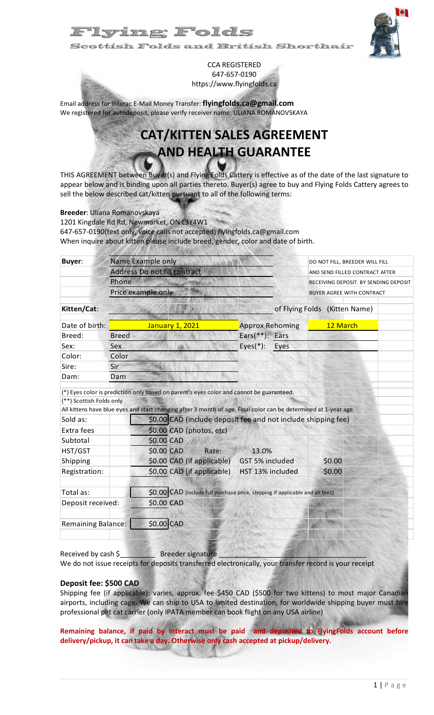## yillg Folds

šcottisk Folds and British Shorthair



CCA REGISTERED 647-657-0190 https://www.flyingfolds.ca

Email address for Interac E-Mail Money Transfer: **flyingfolds.ca@gmail.com** We registered for autodeposit, please verify receiver name: ULIANA ROMANOVSKAYA

# **CAT/KITTEN SALES AGREEMENT AND HEALTH GUARANTEE**

THIS AGREEMENT between Buyer(s) and Flying Folds Cattery is effective as of the date of the last signature to appear below and is binding upon all parties thereto. Buyer(s) agree to buy and Flying Folds Cattery agrees to sell the below described cat/kitten pursuant to all of the following terms:

#### **Breeder**: Uliana Romanovskaya

1201 Kingdale Rd Rd, Newmarket, ON L3Y4W1 647-657-0190(text only, voice calls not accepted) flyingfolds.ca@gmail.com When inquire about kitten please include breed, gender, color and date of birth.

| <b>Buyer:</b>                                                                                          |                                           | Name Example only                                                                                                                                                                                                                                                                                                                                                                                         | DO NOT FILL, BREEDER WILL FILL<br>AND SEND FILLED CONTRACT AFTER<br>RECEIVING DEPOSIT. BY SENDING DEPOSIT<br><b>BUYER AGREE WITH CONTRACT</b> |          |                               |  |
|--------------------------------------------------------------------------------------------------------|-------------------------------------------|-----------------------------------------------------------------------------------------------------------------------------------------------------------------------------------------------------------------------------------------------------------------------------------------------------------------------------------------------------------------------------------------------------------|-----------------------------------------------------------------------------------------------------------------------------------------------|----------|-------------------------------|--|
|                                                                                                        |                                           | Address Do not fill contract                                                                                                                                                                                                                                                                                                                                                                              |                                                                                                                                               |          |                               |  |
|                                                                                                        | Phone                                     |                                                                                                                                                                                                                                                                                                                                                                                                           |                                                                                                                                               |          |                               |  |
|                                                                                                        | Price example only                        |                                                                                                                                                                                                                                                                                                                                                                                                           |                                                                                                                                               |          |                               |  |
| Kitten/Cat:                                                                                            |                                           |                                                                                                                                                                                                                                                                                                                                                                                                           |                                                                                                                                               |          | of Flying Folds (Kitten Name) |  |
| Date of birth:                                                                                         | January 1, 2021<br><b>Approx Rehoming</b> |                                                                                                                                                                                                                                                                                                                                                                                                           |                                                                                                                                               | 12 March |                               |  |
| Breed:                                                                                                 | <b>Breed</b>                              |                                                                                                                                                                                                                                                                                                                                                                                                           | Ears(**): Ears                                                                                                                                |          |                               |  |
| Sex:                                                                                                   | Sex                                       |                                                                                                                                                                                                                                                                                                                                                                                                           | $Eyes(*)$ :                                                                                                                                   | Eyes     |                               |  |
| Color:                                                                                                 | Color                                     |                                                                                                                                                                                                                                                                                                                                                                                                           |                                                                                                                                               |          |                               |  |
| Sire:                                                                                                  | Sir                                       |                                                                                                                                                                                                                                                                                                                                                                                                           |                                                                                                                                               |          |                               |  |
| Dam:                                                                                                   | Dam                                       |                                                                                                                                                                                                                                                                                                                                                                                                           |                                                                                                                                               |          |                               |  |
| (**) Scottish Folds only<br>Sold as:<br>Extra fees<br>Subtotal<br>HST/GST<br>Shipping<br>Registration: |                                           | (*) Eyes color is prediction only based on parent's eyes color and cannot be guaranteed.<br>All kittens have blue eyes and start changing after 3 month of age. Final color can be determined at 1-year age<br>\$0.00 CAD (include deposit fee and not include shipping fee)<br>\$0.00 CAD (photos, etc)<br>\$0.00 CAD<br>\$0.00 CAD<br>Rate:<br>\$0.00 CAD (if applicable)<br>\$0.00 CAD (if applicable) | 13.0%<br>GST 5% included<br>HST 13% included                                                                                                  |          | \$0.00<br>\$0.00              |  |
| Total as:<br>Deposit received:                                                                         |                                           | \$0.00 CAD                                                                                                                                                                                                                                                                                                                                                                                                | \$0.00 CAD (include full purchase price, shipping if applicable and all fees)                                                                 |          |                               |  |
| <b>Remaining Balance:</b>                                                                              |                                           | \$0.00 CAD                                                                                                                                                                                                                                                                                                                                                                                                |                                                                                                                                               |          |                               |  |

Received by cash \$\_\_\_\_\_\_\_\_\_ Breeder signature \_\_\_\_\_\_\_\_\_\_\_\_\_\_\_\_\_\_\_\_\_\_\_\_\_\_\_\_\_\_\_\_\_\_\_\_\_\_

We do not issue receipts for deposits transferred electronically, your transfer record is your receipt

#### **Deposit fee: \$500 CAD**

Shipping fee (if applicable): varies, approx. fee \$450 CAD (\$500 for two kittens) to most major Canadian airports, including cage. We can ship to USA to limited destination, for worldwide shipping buyer must hire professional pet cat carrier (only IPATA member can book flight on any USA airline)

**Remaining balance, if paid by Interact must be paid and deposited to FlyingFolds account before delivery/pickup, it can take a day. Otherwise only cash accepted at pickup/delivery.**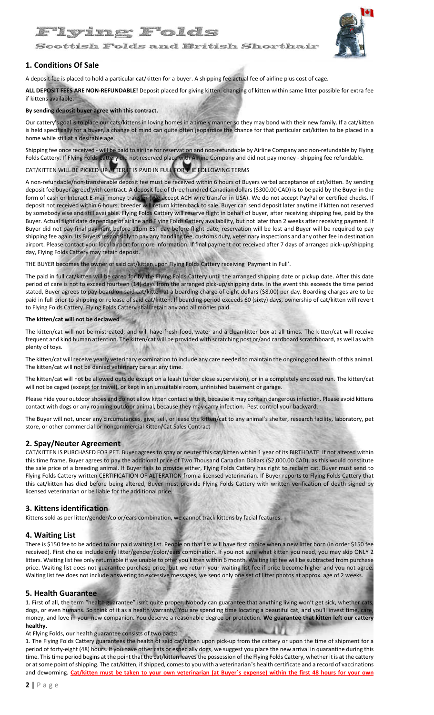

Scottish Folds and British Shorthair

#### **1. Conditions Of Sale**

A deposit fee is placed to hold a particular cat/kitten for a buyer. A shipping fee actual fee of airline plus cost of cage.

**ALL DEPOSIT FEES ARE NON-REFUNDABLE!** Deposit placed for giving kitten, changing of kitten within same litter possible for extra fee if kittens available.

#### **By sending deposit buyer agree with this contract.**

Our cattery's goal is to place our cats/kittens in loving homes in a timely manner so they may bond with their new family. If a cat/kitten is held specifically for a buyer, a change of mind can quite often jeopardize the chance for that particular cat/kitten to be placed in a home while still at a desirable age.

Shipping fee once received - will be paid to airline for reservation and non-refundable by Airline Company and non-refundable by Flying Folds Cattery. If Flying Folds Cattery did not reserved place with Airline Company and did not pay money - shipping fee refundable.

#### CAT/KITTEN WILL BE PICKED UP AFTER IT IS PAID IN FULL FOR THE FOLLOWING TERMS

A non-refundable/non-transferable deposit fee must be received within 6 hours of Buyers verbal acceptance of cat/kitten. By sending deposit fee buyer agreed with contract. A deposit fee of three hundred Canadian dollars (\$300.00 CAD) is to be paid by the Buyer in the form of cash or Interact E-mail money transfer (We accept ACH wire transfer in USA). We do not accept PayPal or certified checks. If deposit not received within 6 hours, breeder will return kitten back to sale. Buyer can send deposit later anytime if kitten not reserved by somebody else and still available. Flying Folds Cattery will reserve flight in behalf of buyer, after receiving shipping fee, paid by the Buyer. Actual flight date depending of airline and Flying Folds Cattery availability, but not later than 2 weeks after receiving payment. If Buyer did not pay final payment before 11pm EST day before flight date, reservation will be lost and Buyer will be required to pay shipping fee again. Its Buyers responsibly to pay any handling fee, customs duty, veterinary inspections and any other fee in destination airport. Please contact your local airport for more information. If final payment not received after 7 days of arranged pick-up/shipping day, Flying Folds Cattery may retain deposit.

THE BUYER becomes the owner of said cat/kitten upon Flying Folds Cattery receiving 'Payment in Full'.

The paid in full cat/kitten will be cared for by the Flying Folds Cattery until the arranged shipping date or pickup date. After this date period of care is not to exceed fourteen (14) days from the arranged pick-up/shipping date. In the event this exceeds the time period stated, Buyer agrees to pay board on said cat/kitten at a boarding charge of eight dollars (\$8.00) per day. Boarding charges are to be paid in full prior to shipping or release of said cat/kitten. If boarding period exceeds 60 (sixty) days, ownership of cat/kitten will revert to Flying Folds Cattery. Flying Folds Cattery shall retain any and all monies paid.

#### **The kitten/cat will not be declawed**

The kitten/cat will not be mistreated, and will have fresh food, water and a clean litter box at all times. The kitten/cat will receive frequent and kind human attention. The kitten/cat will be provided with scratching post or/and cardboard scratchboard, as well as with plenty of toys.

The kitten/cat will receive yearly veterinary examination to include any care needed to maintain the ongoing good health of this animal. The kitten/cat will not be denied veterinary care at any time.

The kitten/cat will not be allowed outside except on a leash (under close supervision), or in a completely enclosed run. The kitten/cat will not be caged (except for travel), or kept in an unsuitable room, unfinished basement or garage.

Please hide your outdoor shoes and do not allow kitten contact with it, because it may contain dangerous infection. Please avoid kittens contact with dogs or any roaming outdoor animal, because they may carry infection. Pest control your backyard.

The Buyer will not, under any circumstances, give, sell, or lease the kitten/cat to any animal's shelter, research facility, laboratory, pet store, or other commercial or noncommercial Kitten/Cat Sales Contract

#### **2. Spay/Neuter Agreement**

CAT/KITTEN IS PURCHASED FOR PET. Buyer agrees to spay or neuter this cat/kitten within 1 year of its BIRTHDATE. If not altered within this time frame, Buyer agrees to pay the additional price of Two Thousand Canadian Dollars (\$2,000.00 CAD), as this would constitute the sale price of a breeding animal. If Buyer fails to provide either, Flying Folds Cattery has right to reclaim cat. Buyer must send to Flying Folds Cattery written CERTIFICATION OF ALTERATION from a licensed veterinarian. If Buyer reports to Flying Folds Cattery that this cat/kitten has died before being altered, Buyer must provide Flying Folds Cattery with written verification of death signed by licensed veterinarian or be liable for the additional price.

#### **3. Kittens identification**

Kittens sold as per litter/gender/color/ears combination, we cannot track kittens by facial features.

#### **4. Waiting List**

There is \$150 fee to be added to our paid waiting list. People on that list will have first choice when a new litter born (in order \$150 fee received). First choice include only litter/gender/color/ears combination. If you not sure what kitten you need, you may skip ONLY 2 litters. Waiting list fee only returnable if we unable to offer you kitten within 6 month. Waiting list fee will be subtracted from purchase price. Waiting list does not guarantee purchase price, but we return your waiting list fee if price become higher and you not agree. Waiting list fee does not include answering to excessive messages, we send only one set of litter photos at approx. age of 2 weeks.

#### **5. Health Guarantee**

1. First of all, the term "health guarantee" isn't quite proper. Nobody can guarantee that anything living won't get sick, whether cats, dogs, or even humans. So think of it as a health warranty. You are spending time locating a beautiful cat, and you'll invest time, care money, and love in your new companion. You deserve a reasonable degree or protection. **We guarantee that kitten left our cattery healthy.**

At Flying Folds, our health guarantee consists of two parts:

1. The Flying Folds Cattery guarantees the health of said cat/kitten upon pick-up from the cattery or upon the time of shipment for a period of forty-eight (48) hours. If you have other cats or especially dogs, we suggest you place the new arrival in quarantine during this time. This time period begins at the point that the cat/kitten leaves the possession of the Flying Folds Cattery, whether it is at the cattery or at some point of shipping. The cat/kitten, if shipped, comes to you with a veterinarian's health certificate and a record of vaccinations and deworming. **Cat/kitten must be taken to your own veterinarian (at Buyer**'**s expense) within the first 48 hours for your own**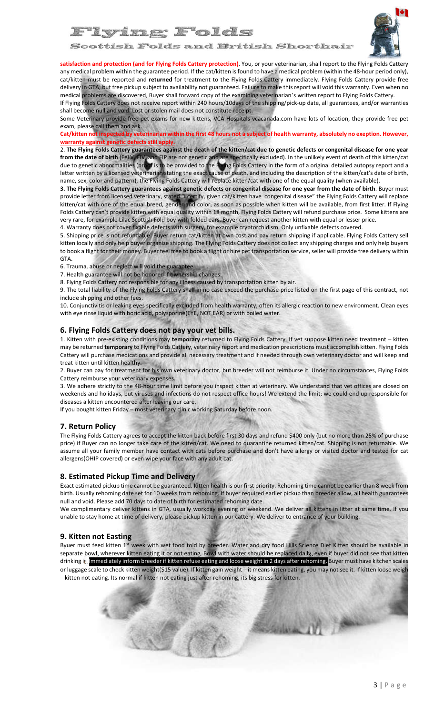

'Iying Folds

Scottish Folds and British Shorthair

**satisfaction and protection (and for Flying Folds Cattery protection)**. You, or your veterinarian, shall report to the Flying Folds Cattery any medical problem within the guarantee period. If the cat/kitten is found to have a medical problem (within the 48-hour period only), cat/kitten must be reported and **returned** for treatment to the Flying Folds Cattery immediately. Flying Folds Cattery provide free delivery in GTA, but free pickup subject to availability not guaranteed. Failure to make this report will void this warranty. Even when no medical problems are discovered, Buyer shall forward copy of the examining veterinarian's written report to Flying Folds Cattery.

If Flying Folds Cattery does not receive report within 240 hours/10days of the shipping/pick-up date, all guarantees, and/or warranties shall become null and void. Lost or stolen mail does not constitute receipt.

Some Veterinary provide free pet exams for new kittens, VCA Hospitals vcacanada.com have lots of location, they provide free pet exam, please call them and ask.

**Cat/kitten not inspected by veterinarian within the first 48 hours not a subject of health warranty, absolutely no exeption. However, warranty against genetic defects still apply.**

2. **The Flying Folds Cattery guarantees against the death of the kitten/cat due to genetic defects or congenital disease for one year from the date of birth** (FeLV, FIV, and FIP are not genetic and are specifically excluded). In the unlikely event of death of this kitten/cat due to genetic abnormalities (proof is to be provided to the Flying Folds Cattery in the form of a original detailed autopsy report and a letter written by a licensed veterinarian stating the exact cause of death, and including the description of the kitten/cat's date of birth, name, sex, color and pattern), the Flying Folds Cattery will replace kitten/cat with one of the equal quality (when available).

**3. The Flying Folds Cattery guarantees against genetic defects or congenital disease for one year from the date of birth**. Buyer must provide letter from licensed veterinary, stated "I certify, given cat/kitten have congenital disease" the Flying Folds Cattery will replace kitten/cat with one of the equal breed, gender and color, as soon as possible when kitten will be available, from first litter. If Flying Folds Cattery can't provide kitten with equal quality within 18 month, Flying Folds Cattery will refund purchase price. Some kittens are very rare, for example Lilac Scottish Fold boy with folded ears. Buyer can request another kitten with equal or lesser price.

4. Warranty does not cover fixable defects with surgery, for example сryptorchidism. Only unfixable defects covered.

5. Shipping price is not refundable. Buyer return cat/kitten at own cost and pay return shipping if applicable. Flying Folds Cattery sell kitten locally and only help buyer organize shipping. The Flying Folds Cattery does not collect any shipping charges and only help buyers to book a flight for their money. Buyer feel free to book a flight or hire pet transportation service, seller will provide free delivery within GTA.

6. Trauma, abuse or neglect will void the guarantee.

7. Health guarantee will not be honored if ownership changes.

8. Flying Folds Cattery not responsible for any illness caused by transportation kitten by air.

9. The total liability of the Flying Folds Cattery shall in no case exceed the purchase price listed on the first page of this contract, not include shipping and other fees.

10. Conjunctivitis or leaking eyes specifically excluded from health warranty, often its allergic reaction to new environment. Clean eyes with eye rinse liquid with boric acid, polysporine(EYE, NOT EAR) or with boiled water.

#### **6. Flying Folds Cattery does not pay your vet bills.**

1. Kitten with pre-existing conditions may **temporary** returned to Flying Folds Cattery. If vet suppose kitten need treatment – kitten may be returned **temporary** to Flying Folds Cattery, veterinary report and medication prescriptions must accomplish kitten. Flying Folds Cattery will purchase medications and provide all necessary treatment and if needed through own veterinary doctor and will keep and treat kitten until kitten healthy.

2. Buyer can pay for treatment for his own veterinary doctor, but breeder will not reimburse it. Under no circumstances, Flying Folds Cattery reimburse your veterinary expenses.

3. We adhere strictly to the 48-hour time limit before you inspect kitten at veterinary. We understand that vet offices are closed on weekends and holidays, but viruses and infections do not respect office hours! We extend the limit; we could end up responsible for diseases a kitten encountered after leaving our care.

If you bought kitten Friday – most veterinary clinic working Saturday before noon.

#### **7. Return Policy**

The Flying Folds Cattery agrees to accept the kitten back before first 30 days and refund \$400 only (but no more than 25% of purchase price) if Buyer can no longer take care of the kitten/cat. We need to quarantine returned kitten/cat. Shipping is not returnable. We assume all your family member have contact with cats before purchase and don't have allergy or visited doctor and tested for cat allergens(OHIP covered) or even wipe your face with any adult cat.

#### **8. Estimated Pickup Time and Delivery**

Exact estimated pickup time cannot be guaranteed. Kitten health is our first priority. Rehoming time cannot be earlier than 8 week from birth. Usually rehoming date set for 10 weeks from rehoming. If buyer required earlier pickup than breeder allow, all health guarantees null and void. Please add 70 days to date of birth for estimated rehoming date.

We complimentary deliver kittens in GTA, usually workday evening or weekend. We deliver all kittens in litter at same time. If you unable to stay home at time of delivery, please pickup kitten in our cattery. We deliver to entrance of your building.

#### **9. Kitten not Easting**

Byuer must feed kitten 1st week with wet food told by breeder. Water and dry food Hills Science Diet Kitten should be available in separate bowl, wherever kitten eating it or not eating. Bowl with water should be replaced daily, even if buyer did not see that kitten drinking it. Immediately inform breeder if kitten refuse eating and loose weight in 2 days after rehoming. Buyer must have kitchen scales or luggage scale to check kitten weight(\$15 value). If kitten gain weight – it means kitten eating, you may not see it. If kitten loose weigh – kitten not eating. Its normal if kitten not eating just after rehoming, its big stress for kitten.